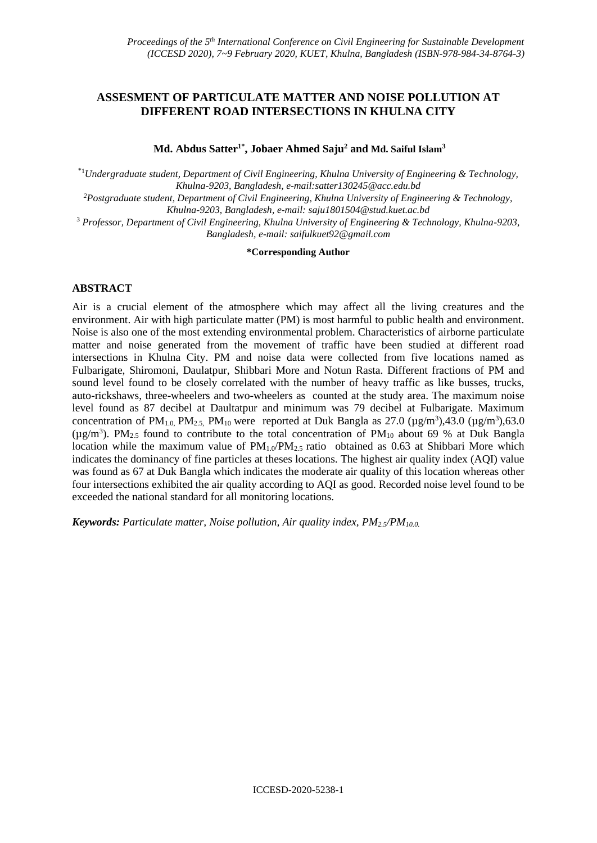# **ASSESMENT OF PARTICULATE MATTER AND NOISE POLLUTION AT DIFFERENT ROAD INTERSECTIONS IN KHULNA CITY**

**Md. Abdus Satter1\* , Jobaer Ahmed Saju<sup>2</sup> and Md. Saiful Islam<sup>3</sup>**

\*<sup>1</sup>*Undergraduate student, Department of Civil Engineering, Khulna University of Engineering & Technology, Khulna-9203, Bangladesh, e-mail[:satter130245@acc.edu.bd](mailto:satter130245@acc.edu.bd)*

*<sup>2</sup>Postgraduate student, Department of Civil Engineering, Khulna University of Engineering & Technology, Khulna-9203, Bangladesh, e-mail: [saju1801504@stud.kuet.ac.bd](mailto:saju1801504@stud.kuet.ac.bd)*

<sup>3</sup> *Professor, Department of Civil Engineering, Khulna University of Engineering & Technology, Khulna-9203, Bangladesh, e-mail: saifulkuet92@gmail.com*

#### **\*Corresponding Author**

### **ABSTRACT**

Air is a crucial element of the atmosphere which may affect all the living creatures and the environment. Air with high particulate matter (PM) is most harmful to public health and environment. Noise is also one of the most extending environmental problem. Characteristics of airborne particulate matter and noise generated from the movement of traffic have been studied at different road intersections in Khulna City. PM and noise data were collected from five locations named as Fulbarigate, Shiromoni, Daulatpur, Shibbari More and Notun Rasta. Different fractions of PM and sound level found to be closely correlated with the number of heavy traffic as like busses, trucks, auto-rickshaws, three-wheelers and two-wheelers as counted at the study area. The maximum noise level found as 87 decibel at Daultatpur and minimum was 79 decibel at Fulbarigate. Maximum concentration of PM<sub>1.0</sub>, PM<sub>2.5</sub>, PM<sub>10</sub> were reported at Duk Bangla as 27.0 ( $\mu$ g/m<sup>3</sup>),43.0 ( $\mu$ g/m<sup>3</sup>),63.0 ( $\mu$ g/m<sup>3</sup>). PM<sub>2.5</sub> found to contribute to the total concentration of PM<sub>10</sub> about 69 % at Duk Bangla location while the maximum value of  $PM_{1.0}/PM_{2.5}$  ratio obtained as 0.63 at Shibbari More which indicates the dominancy of fine particles at theses locations. The highest air quality index (AQI) value was found as 67 at Duk Bangla which indicates the moderate air quality of this location whereas other four intersections exhibited the air quality according to AQI as good. Recorded noise level found to be exceeded the national standard for all monitoring locations.

*Keywords: Particulate matter, Noise pollution, Air quality index, PM2.5/PM10.0.*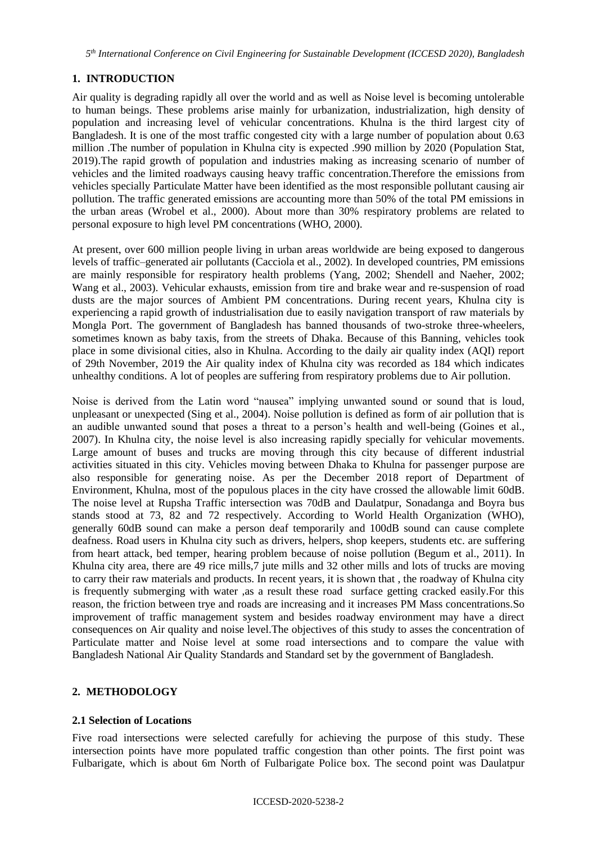# **1. INTRODUCTION**

Air quality is degrading rapidly all over the world and as well as Noise level is becoming untolerable to human beings. These problems arise mainly for urbanization, industrialization, high density of population and increasing level of vehicular concentrations. Khulna is the third largest city of Bangladesh. It is one of the most traffic congested city with a large number of population about 0.63 million .The number of population in Khulna city is expected .990 million by 2020 (Population Stat, 2019).The rapid growth of population and industries making as increasing scenario of number of vehicles and the limited roadways causing heavy traffic concentration.Therefore the emissions from vehicles specially Particulate Matter have been identified as the most responsible pollutant causing air pollution. The traffic generated emissions are accounting more than 50% of the total PM emissions in the urban areas (Wrobel et al., 2000). About more than 30% respiratory problems are related to personal exposure to high level PM concentrations (WHO, 2000).

At present, over 600 million people living in urban areas worldwide are being exposed to dangerous levels of traffic–generated air pollutants (Cacciola et al., 2002). In developed countries, PM emissions are mainly responsible for respiratory health problems (Yang, 2002; Shendell and Naeher, 2002; Wang et al., 2003). Vehicular exhausts, emission from tire and brake wear and re-suspension of road dusts are the major sources of Ambient PM concentrations. During recent years, Khulna city is experiencing a rapid growth of industrialisation due to easily navigation transport of raw materials by Mongla Port. The government of Bangladesh has banned thousands of two-stroke three-wheelers, sometimes known as baby taxis, from the streets of Dhaka. Because of this Banning, vehicles took place in some divisional cities, also in Khulna. According to the daily air quality index (AQI) report of 29th November, 2019 the Air quality index of Khulna city was recorded as 184 which indicates unhealthy conditions. A lot of peoples are suffering from respiratory problems due to Air pollution.

Noise is derived from the Latin word "nausea" implying unwanted sound or sound that is loud, unpleasant or unexpected (Sing et al., 2004). Noise pollution is defined as form of air pollution that is an audible unwanted sound that poses a threat to a person's health and well-being (Goines et al., 2007). In Khulna city, the noise level is also increasing rapidly specially for vehicular movements. Large amount of buses and trucks are moving through this city because of different industrial activities situated in this city. Vehicles moving between Dhaka to Khulna for passenger purpose are also responsible for generating noise. As per the December 2018 report of Department of Environment, Khulna, most of the populous places in the city have crossed the allowable limit 60dB. The noise level at Rupsha Traffic intersection was 70dB and Daulatpur, Sonadanga and Boyra bus stands stood at 73, 82 and 72 respectively. According to World Health Organization (WHO), generally 60dB sound can make a person deaf temporarily and 100dB sound can cause complete deafness. Road users in Khulna city such as drivers, helpers, shop keepers, students etc. are suffering from heart attack, bed temper, hearing problem because of noise pollution (Begum et al., 2011). In Khulna city area, there are 49 rice mills,7 jute mills and 32 other mills and lots of trucks are moving to carry their raw materials and products. In recent years, it is shown that , the roadway of Khulna city is frequently submerging with water ,as a result these road surface getting cracked easily.For this reason, the friction between trye and roads are increasing and it increases PM Mass concentrations.So improvement of traffic management system and besides roadway environment may have a direct consequences on Air quality and noise level.The objectives of this study to asses the concentration of Particulate matter and Noise level at some road intersections and to compare the value with Bangladesh National Air Quality Standards and Standard set by the government of Bangladesh.

# **2. METHODOLOGY**

# **2.1 Selection of Locations**

Five road intersections were selected carefully for achieving the purpose of this study. These intersection points have more populated traffic congestion than other points. The first point was Fulbarigate, which is about 6m North of Fulbarigate Police box. The second point was Daulatpur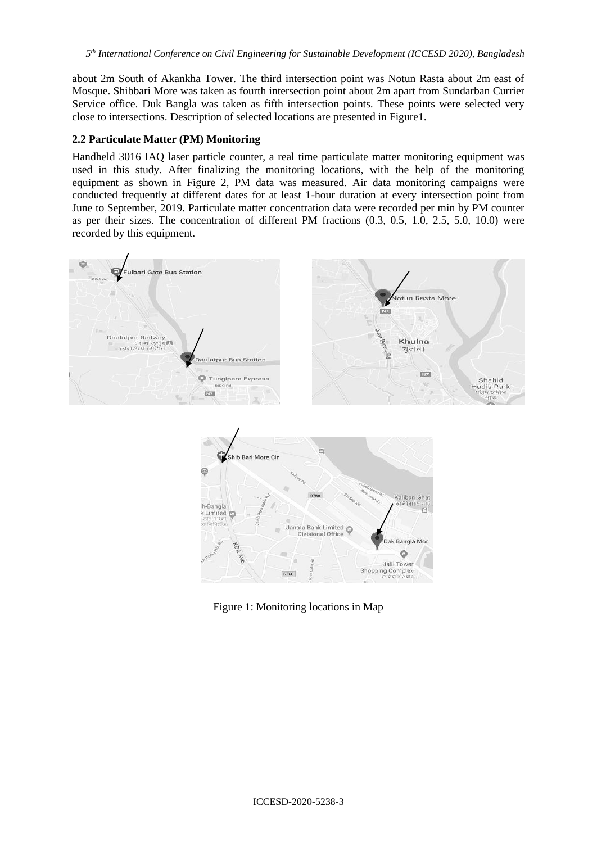about 2m South of Akankha Tower. The third intersection point was Notun Rasta about 2m east of Mosque. Shibbari More was taken as fourth intersection point about 2m apart from Sundarban Currier Service office. Duk Bangla was taken as fifth intersection points. These points were selected very close to intersections. Description of selected locations are presented in Figure1.

# **2.2 Particulate Matter (PM) Monitoring**

Handheld 3016 IAQ laser particle counter, a real time particulate matter monitoring equipment was used in this study. After finalizing the monitoring locations, with the help of the monitoring equipment as shown in Figure 2, PM data was measured. Air data monitoring campaigns were conducted frequently at different dates for at least 1-hour duration at every intersection point from June to September, 2019. Particulate matter concentration data were recorded per min by PM counter as per their sizes. The concentration of different PM fractions (0.3, 0.5, 1.0, 2.5, 5.0, 10.0) were recorded by this equipment.



Figure 1: Monitoring locations in Map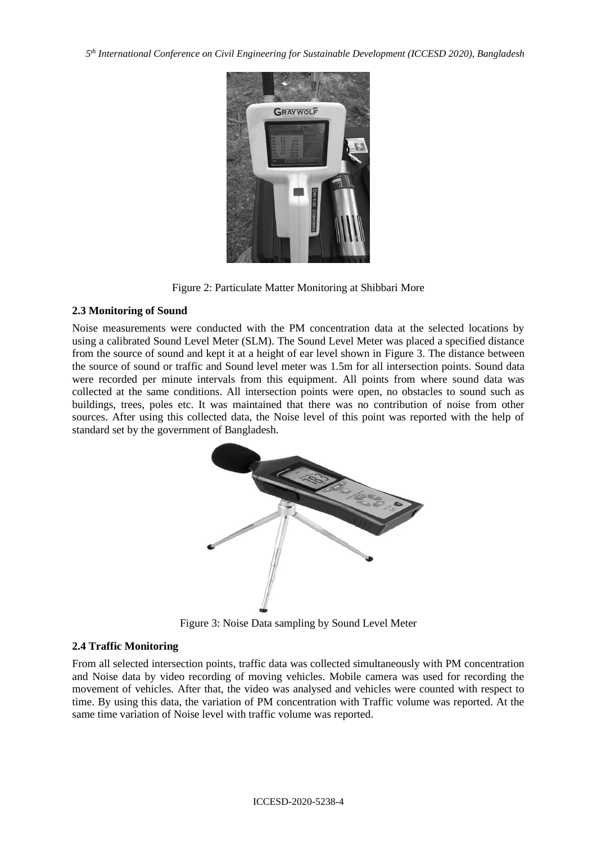

Figure 2: Particulate Matter Monitoring at Shibbari More

# **2.3 Monitoring of Sound**

Noise measurements were conducted with the PM concentration data at the selected locations by using a calibrated Sound Level Meter (SLM). The Sound Level Meter was placed a specified distance from the source of sound and kept it at a height of ear level shown in Figure 3. The distance between the source of sound or traffic and Sound level meter was 1.5m for all intersection points. Sound data were recorded per minute intervals from this equipment. All points from where sound data was collected at the same conditions. All intersection points were open, no obstacles to sound such as buildings, trees, poles etc. It was maintained that there was no contribution of noise from other sources. After using this collected data, the Noise level of this point was reported with the help of standard set by the government of Bangladesh.



Figure 3: Noise Data sampling by Sound Level Meter

# **2.4 Traffic Monitoring**

From all selected intersection points, traffic data was collected simultaneously with PM concentration and Noise data by video recording of moving vehicles. Mobile camera was used for recording the movement of vehicles. After that, the video was analysed and vehicles were counted with respect to time. By using this data, the variation of PM concentration with Traffic volume was reported. At the same time variation of Noise level with traffic volume was reported.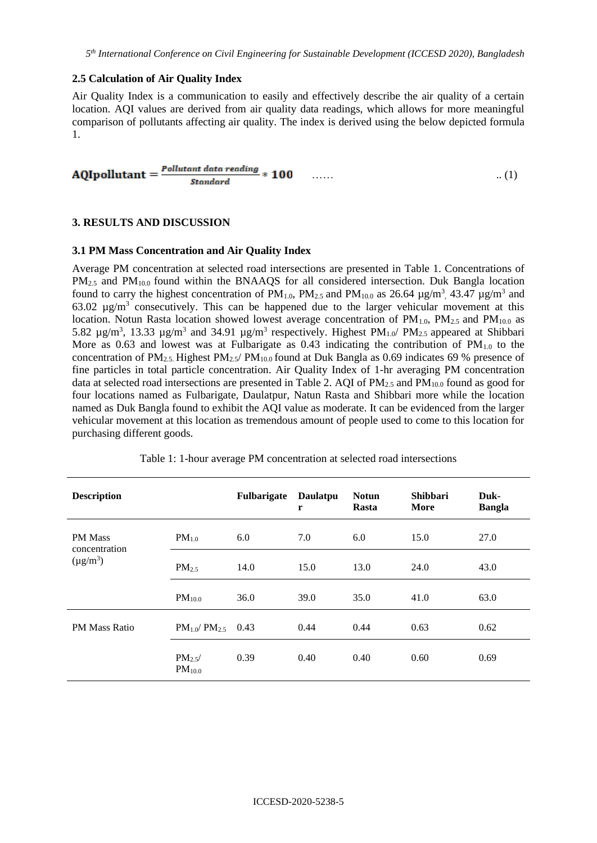### **2.5 Calculation of Air Quality Index**

Air Quality Index is a communication to easily and effectively describe the air quality of a certain location. AQI values are derived from air quality data readings, which allows for more meaningful comparison of pollutants affecting air quality. The index is derived using the below depicted formula 1.

$$
AQIpollutant = \frac{Pollutant data reading}{Standard} * 100 \qquad \qquad \ldots \qquad \qquad \ldots \qquad \qquad \ldots \qquad (1)
$$

### **3. RESULTS AND DISCUSSION**

#### **3.1 PM Mass Concentration and Air Quality Index**

Average PM concentration at selected road intersections are presented in Table 1. Concentrations of PM<sub>2.5</sub> and PM<sub>10.0</sub> found within the BNAAQS for all considered intersection. Duk Bangla location found to carry the highest concentration of  $PM_{1.0}$ ,  $PM_{2.5}$  and  $PM_{10.0}$  as 26.64  $\mu$ g/m<sup>3</sup>, 43.47  $\mu$ g/m<sup>3</sup> and 63.02  $\mu$ g/m<sup>3</sup> consecutively. This can be happened due to the larger vehicular movement at this location. Notun Rasta location showed lowest average concentration of  $PM<sub>1.0</sub>$ ,  $PM<sub>2.5</sub>$  and  $PM<sub>10.0</sub>$  as 5.82  $\mu$ g/m<sup>3</sup>, 13.33  $\mu$ g/m<sup>3</sup> and 34.91  $\mu$ g/m<sup>3</sup> respectively. Highest PM<sub>1.0</sub>/ PM<sub>2.5</sub> appeared at Shibbari More as 0.63 and lowest was at Fulbarigate as 0.43 indicating the contribution of  $PM<sub>1.0</sub>$  to the concentration of PM<sub>2.5</sub>. Highest PM<sub>2.5</sub>/ PM<sub>10.0</sub> found at Duk Bangla as 0.69 indicates 69 % presence of fine particles in total particle concentration. Air Quality Index of 1-hr averaging PM concentration data at selected road intersections are presented in Table 2. AQI of PM<sub>2.5</sub> and PM<sub>10.0</sub> found as good for four locations named as Fulbarigate, Daulatpur, Natun Rasta and Shibbari more while the location named as Duk Bangla found to exhibit the AQI value as moderate. It can be evidenced from the larger vehicular movement at this location as tremendous amount of people used to come to this location for purchasing different goods.

|  |  |  |  | Table 1: 1-hour average PM concentration at selected road intersections |  |  |  |  |
|--|--|--|--|-------------------------------------------------------------------------|--|--|--|--|
|--|--|--|--|-------------------------------------------------------------------------|--|--|--|--|

| <b>Description</b>              |                                  | Fulbarigate | Daulatpu<br>r | <b>Notun</b><br>Rasta | <b>Shibbari</b><br>More | Duk-<br><b>Bangla</b> |
|---------------------------------|----------------------------------|-------------|---------------|-----------------------|-------------------------|-----------------------|
| <b>PM Mass</b><br>concentration | $PM_{1.0}$                       | 6.0         | 7.0           | 6.0                   | 15.0                    | 27.0                  |
| $(\mu g/m^3)$                   | $PM_{2.5}$                       | 14.0        | 15.0          | 13.0                  | 24.0                    | 43.0                  |
|                                 | PM <sub>10.0</sub>               | 36.0        | 39.0          | 35.0                  | 41.0                    | 63.0                  |
| <b>PM Mass Ratio</b>            | $PM_{1.0}$ / $PM_{2.5}$          | 0.43        | 0.44          | 0.44                  | 0.63                    | 0.62                  |
|                                 | $PM_{2.5}$<br>PM <sub>10.0</sub> | 0.39        | 0.40          | 0.40                  | 0.60                    | 0.69                  |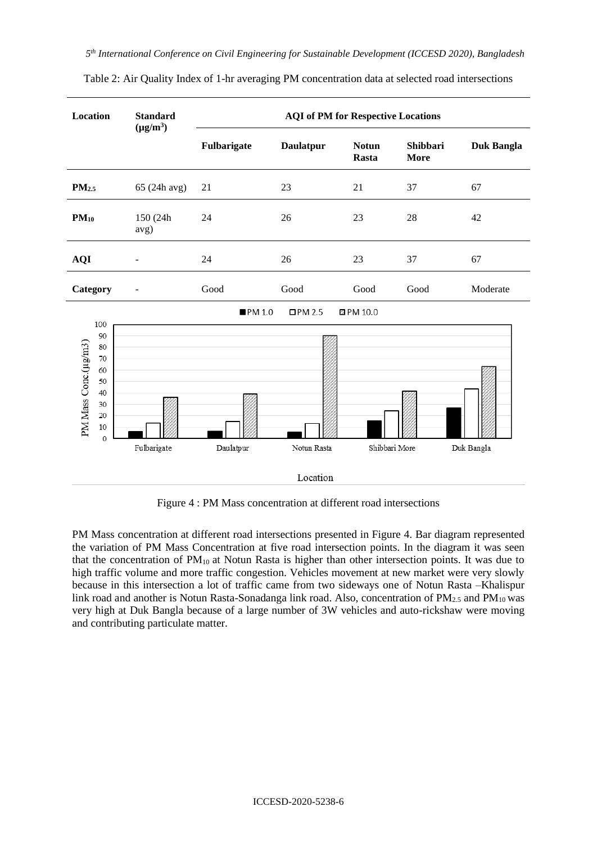| <b>Standard</b>  | <b>AQI</b> of PM for Respective Locations |                  |                       |                         |                   |  |
|------------------|-------------------------------------------|------------------|-----------------------|-------------------------|-------------------|--|
|                  | Fulbarigate                               | <b>Daulatpur</b> | <b>Notun</b><br>Rasta | Shibbari<br><b>More</b> | <b>Duk Bangla</b> |  |
| 65 (24h avg)     | 21                                        | 23               | 21                    | 37                      | 67                |  |
| 150 (24h<br>avg) | 24                                        | 26               | 23                    | 28                      | 42                |  |
|                  | 24                                        | 26               | 23                    | 37                      | 67                |  |
|                  | Good                                      | Good             | Good                  | Good                    | Moderate          |  |
|                  | PM 1.0                                    | $\square$ PM 2.5 |                       |                         |                   |  |
| Fulbarigate      | Daulatpur                                 | Notun Rasta      |                       |                         | Duk Bangla        |  |
|                  | $(\mu g/m^3)$                             |                  |                       | Z PM 10.0<br>Location   | Shibbari More     |  |

Table 2: Air Quality Index of 1-hr averaging PM concentration data at selected road intersections

Figure 4 : PM Mass concentration at different road intersections

PM Mass concentration at different road intersections presented in Figure 4. Bar diagram represented the variation of PM Mass Concentration at five road intersection points. In the diagram it was seen that the concentration of  $PM_{10}$  at Notun Rasta is higher than other intersection points. It was due to high traffic volume and more traffic congestion. Vehicles movement at new market were very slowly because in this intersection a lot of traffic came from two sideways one of Notun Rasta –Khalispur link road and another is Notun Rasta-Sonadanga link road. Also, concentration of  $PM_{2.5}$  and  $PM_{10}$  was very high at Duk Bangla because of a large number of 3W vehicles and auto-rickshaw were moving and contributing particulate matter.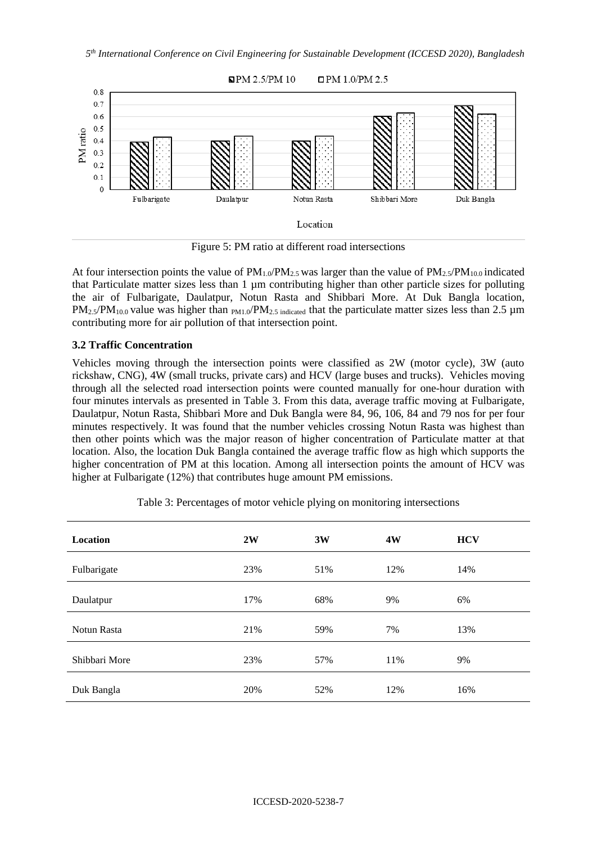

Figure 5: PM ratio at different road intersections

At four intersection points the value of  $PM_{1.0}/PM_{2.5}$  was larger than the value of  $PM_{2.5}/PM_{10.0}$  indicated that Particulate matter sizes less than 1 µm contributing higher than other particle sizes for polluting the air of Fulbarigate, Daulatpur, Notun Rasta and Shibbari More. At Duk Bangla location,  $PM_{2.5}/PM_{10.0}$  value was higher than  $_{PM1.0}/PM_{2.5}$  indicated that the particulate matter sizes less than 2.5  $\mu$ m contributing more for air pollution of that intersection point.

# **3.2 Traffic Concentration**

Vehicles moving through the intersection points were classified as 2W (motor cycle), 3W (auto rickshaw, CNG), 4W (small trucks, private cars) and HCV (large buses and trucks). Vehicles moving through all the selected road intersection points were counted manually for one-hour duration with four minutes intervals as presented in Table 3. From this data, average traffic moving at Fulbarigate, Daulatpur, Notun Rasta, Shibbari More and Duk Bangla were 84, 96, 106, 84 and 79 nos for per four minutes respectively. It was found that the number vehicles crossing Notun Rasta was highest than then other points which was the major reason of higher concentration of Particulate matter at that location. Also, the location Duk Bangla contained the average traffic flow as high which supports the higher concentration of PM at this location. Among all intersection points the amount of HCV was higher at Fulbarigate (12%) that contributes huge amount PM emissions.

| Location      | 2W  | 3W  | 4W  | <b>HCV</b> |
|---------------|-----|-----|-----|------------|
| Fulbarigate   | 23% | 51% | 12% | 14%        |
| Daulatpur     | 17% | 68% | 9%  | 6%         |
| Notun Rasta   | 21% | 59% | 7%  | 13%        |
| Shibbari More | 23% | 57% | 11% | 9%         |
| Duk Bangla    | 20% | 52% | 12% | 16%        |

Table 3: Percentages of motor vehicle plying on monitoring intersections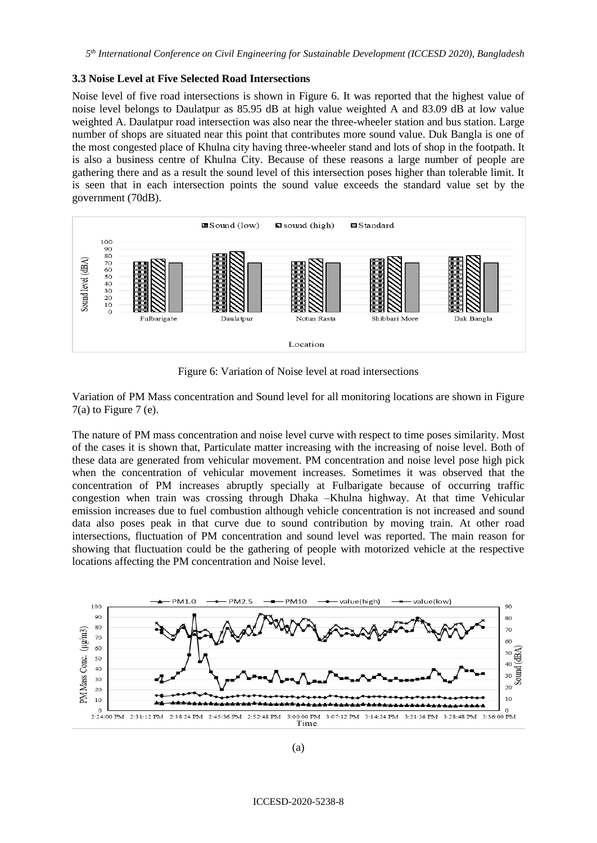### **3.3 Noise Level at Five Selected Road Intersections**

Noise level of five road intersections is shown in Figure 6. It was reported that the highest value of noise level belongs to Daulatpur as 85.95 dB at high value weighted A and 83.09 dB at low value weighted A. Daulatpur road intersection was also near the three-wheeler station and bus station. Large number of shops are situated near this point that contributes more sound value. Duk Bangla is one of the most congested place of Khulna city having three-wheeler stand and lots of shop in the footpath. It is also a business centre of Khulna City. Because of these reasons a large number of people are gathering there and as a result the sound level of this intersection poses higher than tolerable limit. It is seen that in each intersection points the sound value exceeds the standard value set by the government (70dB).



Figure 6: Variation of Noise level at road intersections

Variation of PM Mass concentration and Sound level for all monitoring locations are shown in Figure  $7(a)$  to Figure 7 (e).

The nature of PM mass concentration and noise level curve with respect to time poses similarity. Most of the cases it is shown that, Particulate matter increasing with the increasing of noise level. Both of these data are generated from vehicular movement. PM concentration and noise level pose high pick when the concentration of vehicular movement increases. Sometimes it was observed that the concentration of PM increases abruptly specially at Fulbarigate because of occurring traffic congestion when train was crossing through Dhaka –Khulna highway. At that time Vehicular emission increases due to fuel combustion although vehicle concentration is not increased and sound data also poses peak in that curve due to sound contribution by moving train. At other road intersections, fluctuation of PM concentration and sound level was reported. The main reason for showing that fluctuation could be the gathering of people with motorized vehicle at the respective locations affecting the PM concentration and Noise level.

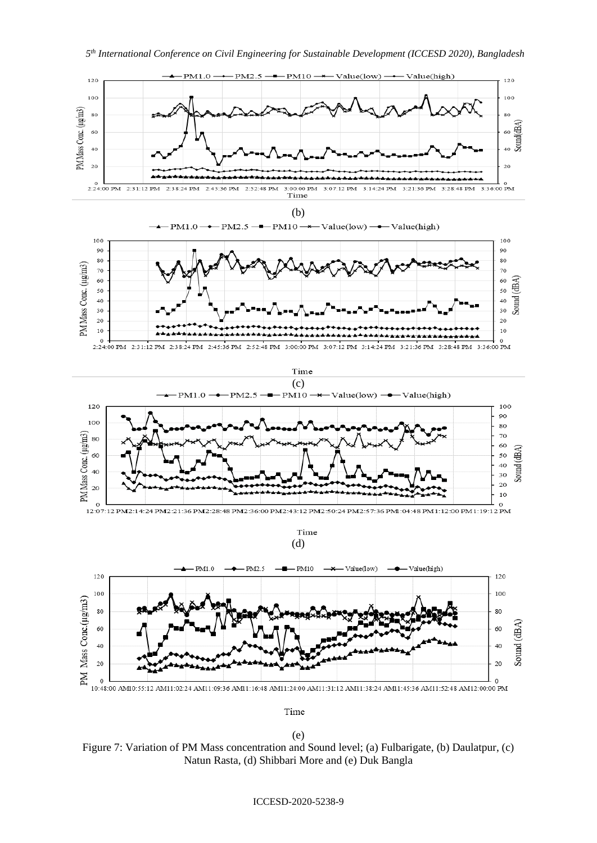

(e) Figure 7: Variation of PM Mass concentration and Sound level; (a) Fulbarigate, (b) Daulatpur, (c) Natun Rasta, (d) Shibbari More and (e) Duk Bangla